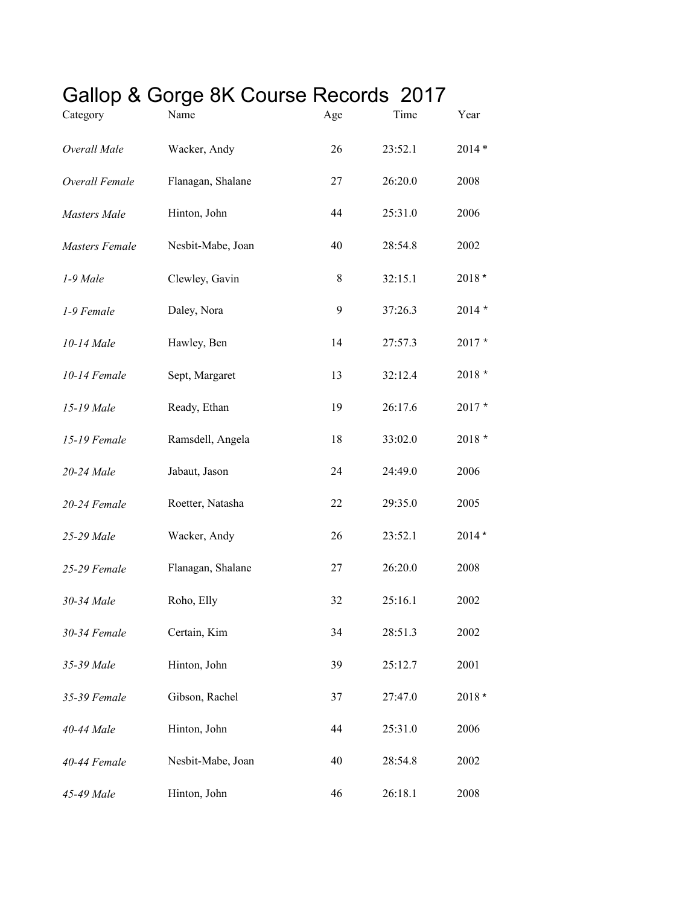## Gallop & Gorge 8K Course Records 2017

| Category              | Name              | Age         | Time    | Year     |
|-----------------------|-------------------|-------------|---------|----------|
| Overall Male          | Wacker, Andy      | 26          | 23:52.1 | $2014*$  |
| Overall Female        | Flanagan, Shalane | 27          | 26:20.0 | 2008     |
| Masters Male          | Hinton, John      | 44          | 25:31.0 | 2006     |
| <b>Masters Female</b> | Nesbit-Mabe, Joan | 40          | 28:54.8 | 2002     |
| 1-9 Male              | Clewley, Gavin    | $\,$ 8 $\,$ | 32:15.1 | 2018*    |
| 1-9 Female            | Daley, Nora       | 9           | 37:26.3 | $2014 *$ |
| 10-14 Male            | Hawley, Ben       | 14          | 27:57.3 | $2017 *$ |
| 10-14 Female          | Sept, Margaret    | 13          | 32:12.4 | $2018 *$ |
| 15-19 Male            | Ready, Ethan      | 19          | 26:17.6 | $2017 *$ |
| 15-19 Female          | Ramsdell, Angela  | 18          | 33:02.0 | $2018 *$ |
| 20-24 Male            | Jabaut, Jason     | 24          | 24:49.0 | 2006     |
| 20-24 Female          | Roetter, Natasha  | 22          | 29:35.0 | 2005     |
| 25-29 Male            | Wacker, Andy      | 26          | 23:52.1 | $2014*$  |
| 25-29 Female          | Flanagan, Shalane | 27          | 26:20.0 | 2008     |
| 30-34 Male            | Roho, Elly        | 32          | 25:16.1 | 2002     |
| 30-34 Female          | Certain, Kim      | 34          | 28:51.3 | 2002     |
| 35-39 Male            | Hinton, John      | 39          | 25:12.7 | 2001     |
| 35-39 Female          | Gibson, Rachel    | 37          | 27:47.0 | 2018*    |
| 40-44 Male            | Hinton, John      | 44          | 25:31.0 | 2006     |
| 40-44 Female          | Nesbit-Mabe, Joan | 40          | 28:54.8 | 2002     |
| 45-49 Male            | Hinton, John      | 46          | 26:18.1 | 2008     |